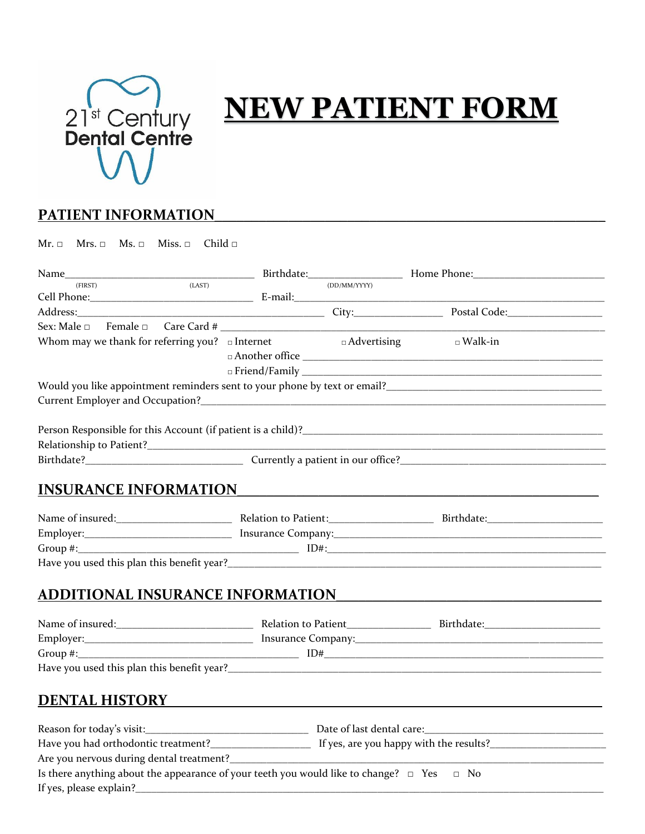

## **NEW PATIENT FORM**

## PATIENT INFORMATION

 $Mr.  $\Box$  Mrs.  $\Box$  Ms.  $\Box$  Miss.  $\Box$  Child  $\Box$$ 

| (LAST)<br>(FIRST)                                                                                   |  | (DD/MM/YYYY)       |                                                                                                                                                                                                                                    |  |  |
|-----------------------------------------------------------------------------------------------------|--|--------------------|------------------------------------------------------------------------------------------------------------------------------------------------------------------------------------------------------------------------------------|--|--|
|                                                                                                     |  |                    |                                                                                                                                                                                                                                    |  |  |
|                                                                                                     |  |                    | Address: 2008. [2013] City: City: 2014 Code: 2014 Code: 2014 Code: 2014 Code: 2014 Code: 2014 Code: 2014 Code:                                                                                                                     |  |  |
| Sex: Male □                                                                                         |  |                    |                                                                                                                                                                                                                                    |  |  |
| Whom may we thank for referring you? $\Box$ Internet                                                |  | $\Box$ Advertising | $\square$ Walk-in                                                                                                                                                                                                                  |  |  |
|                                                                                                     |  |                    |                                                                                                                                                                                                                                    |  |  |
|                                                                                                     |  |                    |                                                                                                                                                                                                                                    |  |  |
|                                                                                                     |  |                    | Would you like appointment reminders sent to your phone by text or email?<br>Mould you like appointment reminders sent to your phone by text or email?<br>Mould you like appointment reminders sent to your phone by text or email |  |  |
|                                                                                                     |  |                    |                                                                                                                                                                                                                                    |  |  |
|                                                                                                     |  |                    |                                                                                                                                                                                                                                    |  |  |
|                                                                                                     |  |                    |                                                                                                                                                                                                                                    |  |  |
|                                                                                                     |  |                    |                                                                                                                                                                                                                                    |  |  |
|                                                                                                     |  |                    |                                                                                                                                                                                                                                    |  |  |
|                                                                                                     |  |                    |                                                                                                                                                                                                                                    |  |  |
| <b>INSURANCE INFORMATION</b>                                                                        |  |                    |                                                                                                                                                                                                                                    |  |  |
|                                                                                                     |  |                    |                                                                                                                                                                                                                                    |  |  |
|                                                                                                     |  |                    |                                                                                                                                                                                                                                    |  |  |
|                                                                                                     |  |                    |                                                                                                                                                                                                                                    |  |  |
|                                                                                                     |  |                    |                                                                                                                                                                                                                                    |  |  |
|                                                                                                     |  |                    |                                                                                                                                                                                                                                    |  |  |
| <b>ADDITIONAL INSURANCE INFORMATION</b>                                                             |  |                    |                                                                                                                                                                                                                                    |  |  |
|                                                                                                     |  |                    |                                                                                                                                                                                                                                    |  |  |
|                                                                                                     |  |                    |                                                                                                                                                                                                                                    |  |  |
|                                                                                                     |  |                    | Group #: $ID#$                                                                                                                                                                                                                     |  |  |
|                                                                                                     |  |                    |                                                                                                                                                                                                                                    |  |  |
|                                                                                                     |  |                    |                                                                                                                                                                                                                                    |  |  |
| <b>DENTAL HISTORY</b>                                                                               |  |                    |                                                                                                                                                                                                                                    |  |  |
|                                                                                                     |  |                    |                                                                                                                                                                                                                                    |  |  |
|                                                                                                     |  |                    |                                                                                                                                                                                                                                    |  |  |
|                                                                                                     |  |                    |                                                                                                                                                                                                                                    |  |  |
|                                                                                                     |  |                    |                                                                                                                                                                                                                                    |  |  |
| Is there anything about the appearance of your teeth you would like to change? $\Box$ Yes $\Box$ No |  |                    |                                                                                                                                                                                                                                    |  |  |

If yes, please explain?\_\_\_\_\_\_\_\_\_\_\_\_\_\_\_\_\_\_\_\_\_\_\_\_\_\_\_\_\_\_\_\_\_\_\_\_\_\_\_\_\_\_\_\_\_\_\_\_\_\_\_\_\_\_\_\_\_\_\_\_\_\_\_\_\_\_\_\_\_\_\_\_\_\_\_\_\_\_\_\_\_\_\_\_\_\_\_\_\_